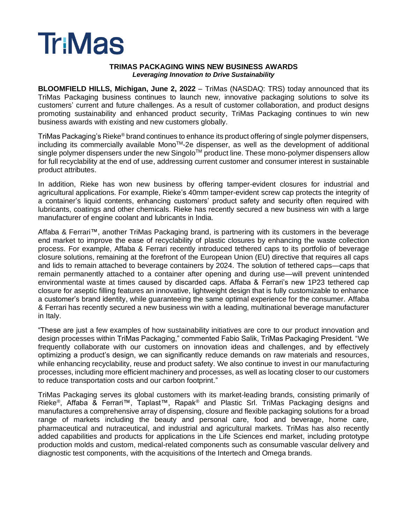# **Tr:Mas**

#### **TRIMAS PACKAGING WINS NEW BUSINESS AWARDS** *Leveraging Innovation to Drive Sustainability*

**BLOOMFIELD HILLS, Michigan, June 2, 2022** – TriMas (NASDAQ: TRS) today announced that its TriMas Packaging business continues to launch new, innovative packaging solutions to solve its customers' current and future challenges. As a result of customer collaboration, and product designs promoting sustainability and enhanced product security, TriMas Packaging continues to win new business awards with existing and new customers globally.

TriMas Packaging's Rieke® brand continues to enhance its product offering of single polymer dispensers, including its commercially available Mono™-2e dispenser, as well as the development of additional single polymer dispensers under the new Singolo™ product line. These mono-polymer dispensers allow for full recyclability at the end of use, addressing current customer and consumer interest in sustainable product attributes.

In addition, Rieke has won new business by offering tamper-evident closures for industrial and agricultural applications. For example, Rieke's 40mm tamper-evident screw cap protects the integrity of a container's liquid contents, enhancing customers' product safety and security often required with lubricants, coatings and other chemicals. Rieke has recently secured a new business win with a large manufacturer of engine coolant and lubricants in India.

Affaba & Ferrari™, another TriMas Packaging brand, is partnering with its customers in the beverage end market to improve the ease of recyclability of plastic closures by enhancing the waste collection process. For example, Affaba & Ferrari recently introduced tethered caps to its portfolio of beverage closure solutions, remaining at the forefront of the European Union (EU) directive that requires all caps and lids to remain attached to beverage containers by 2024. The solution of tethered caps—caps that remain permanently attached to a container after opening and during use—will prevent unintended environmental waste at times caused by discarded caps. Affaba & Ferrari's new 1P23 tethered cap closure for aseptic filling features an innovative, lightweight design that is fully customizable to enhance a customer's brand identity, while guaranteeing the same optimal experience for the consumer. Affaba & Ferrari has recently secured a new business win with a leading, multinational beverage manufacturer in Italy.

"These are just a few examples of how sustainability initiatives are core to our product innovation and design processes within TriMas Packaging," commented Fabio Salik, TriMas Packaging President. "We frequently collaborate with our customers on innovation ideas and challenges, and by effectively optimizing a product's design, we can significantly reduce demands on raw materials and resources, while enhancing recyclability, reuse and product safety. We also continue to invest in our manufacturing processes, including more efficient machinery and processes, as well as locating closer to our customers to reduce transportation costs and our carbon footprint."

TriMas Packaging serves its global customers with its market-leading brands, consisting primarily of Rieke<sup>®</sup>, Affaba & Ferrari™, Taplast™, Rapak<sup>®</sup> and Plastic Srl. TriMas Packaging designs and manufactures a comprehensive array of dispensing, closure and flexible packaging solutions for a broad range of markets including the beauty and personal care, food and beverage, home care, pharmaceutical and nutraceutical, and industrial and agricultural markets. TriMas has also recently added capabilities and products for applications in the Life Sciences end market, including prototype production molds and custom, medical-related components such as consumable vascular delivery and diagnostic test components, with the acquisitions of the Intertech and Omega brands.